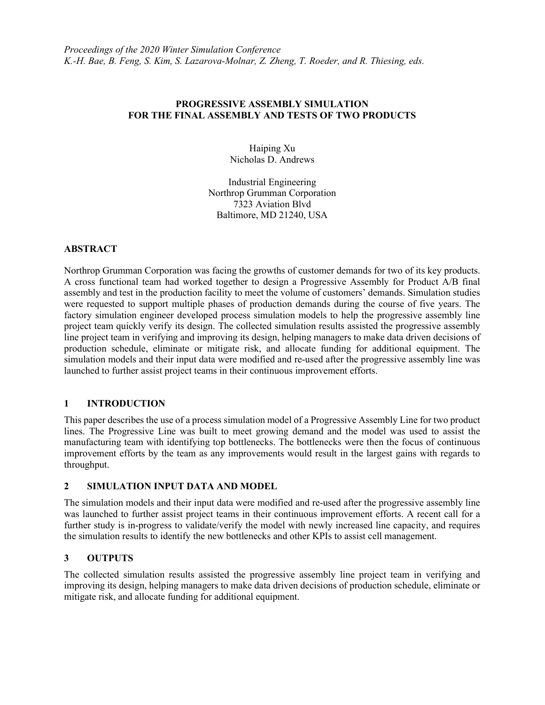## PROGRESSIVE ASSEMBLY SIMULATION FOR THE FINAL ASSEMBLY AND TESTS OF TWO PRODUCTS

Haiping Xu Nicholas D. Andrews

Industrial Engineering Northrop Grumman Corporation 7323 Aviation Blvd Baltimore, MD 21240, USA

#### ABSTRACT

Northrop Grumman Corporation was facing the growths of customer demands for two of its key products. A cross functional team had worked together to design a Progressive Assembly for Product A/B final assembly and test in the production facility to meet the volume of customers' demands. Simulation studies were requested to support multiple phases of production demands during the course of five years. The factory simulation engineer developed process simulation models to help the progressive assembly line project team quickly verify its design. The collected simulation results assisted the progressive assembly line project team in verifying and improving its design, helping managers to make data driven decisions of production schedule, eliminate or mitigate risk, and allocate funding for additional equipment. The simulation models and their input data were modified and re-used after the progressive assembly line was launched to further assist project teams in their continuous improvement efforts.

# 1 INTRODUCTION

This paper describes the use of a process simulation model of a Progressive Assembly Line for two product lines. The Progressive Line was built to meet growing demand and the model was used to assist the manufacturing team with identifying top bottlenecks. The bottlenecks were then the focus of continuous improvement efforts by the team as any improvements would result in the largest gains with regards to throughput.

#### 2 SIMULATION INPUT DATA AND MODEL

The simulation models and their input data were modified and re-used after the progressive assembly line was launched to further assist project teams in their continuous improvement efforts. A recent call for a further study is in-progress to validate/verify the model with newly increased line capacity, and requires the simulation results to identify the new bottlenecks and other KPIs to assist cell management.

#### 3 OUTPUTS

The collected simulation results assisted the progressive assembly line project team in verifying and improving its design, helping managers to make data driven decisions of production schedule, eliminate or mitigate risk, and allocate funding for additional equipment.